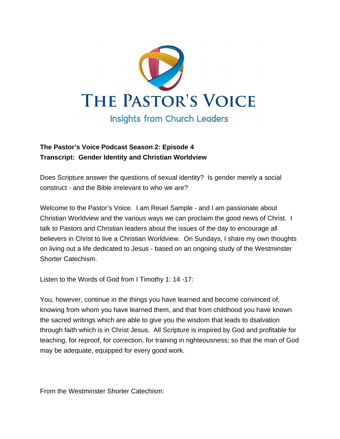

## **The Pastor's Voice Podcast Season 2: Episode 4 Transcript: Gender Identity and Christian Worldview**

Does Scripture answer the questions of sexual identity? Is gender merely a social construct - and the Bible irrelevant to who we are?

Welcome to the Pastor's Voice. I am Reuel Sample - and I am passionate about Christian Worldview and the various ways we can proclaim the good news of Christ. I talk to Pastors and Christian leaders about the issues of the day to encourage all believers in Christ to live a Christian Worldview. On Sundays, I share my own thoughts on living out a life dedicated to Jesus - based on an ongoing study of the Westminster Shorter Catechism.

Listen to the Words of God from I Timothy 1: 14 -17:

You, however, continue in the things you have learned and become convinced of, knowing from whom you have learned them, and that from childhood you have known the sacred writings which are able to give you the wisdom that leads to dsalvation through faith which is in Christ Jesus. All Scripture is inspired by God and profitable for teaching, for reproof, for correction, for training in righteousness; so that the man of God may be adequate, equipped for every good work.

From the Westminster Shorter Catechism: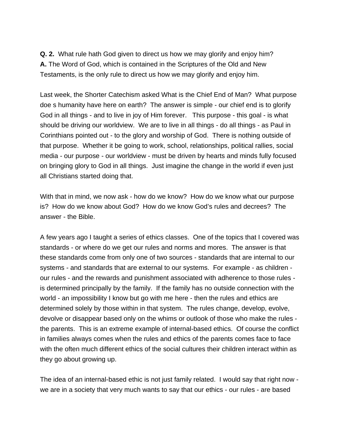**Q. 2.** What rule hath God given to direct us how we may glorify and enjoy him? **A.** The Word of God, which is contained in the Scriptures of the Old and New Testaments, is the only rule to direct us how we may glorify and enjoy him.

Last week, the Shorter Catechism asked What is the Chief End of Man? What purpose doe s humanity have here on earth? The answer is simple - our chief end is to glorify God in all things - and to live in joy of Him forever. This purpose - this goal - is what should be driving our worldview. We are to live in all things - do all things - as Paul in Corinthians pointed out - to the glory and worship of God. There is nothing outside of that purpose. Whether it be going to work, school, relationships, political rallies, social media - our purpose - our worldview - must be driven by hearts and minds fully focused on bringing glory to God in all things. Just imagine the change in the world if even just all Christians started doing that.

With that in mind, we now ask - how do we know? How do we know what our purpose is? How do we know about God? How do we know God's rules and decrees? The answer - the Bible.

A few years ago I taught a series of ethics classes. One of the topics that I covered was standards - or where do we get our rules and norms and mores. The answer is that these standards come from only one of two sources - standards that are internal to our systems - and standards that are external to our systems. For example - as children our rules - and the rewards and punishment associated with adherence to those rules is determined principally by the family. If the family has no outside connection with the world - an impossibility I know but go with me here - then the rules and ethics are determined solely by those within in that system. The rules change, develop, evolve, devolve or disappear based only on the whims or outlook of those who make the rules the parents. This is an extreme example of internal-based ethics. Of course the conflict in families always comes when the rules and ethics of the parents comes face to face with the often much different ethics of the social cultures their children interact within as they go about growing up.

The idea of an internal-based ethic is not just family related. I would say that right now we are in a society that very much wants to say that our ethics - our rules - are based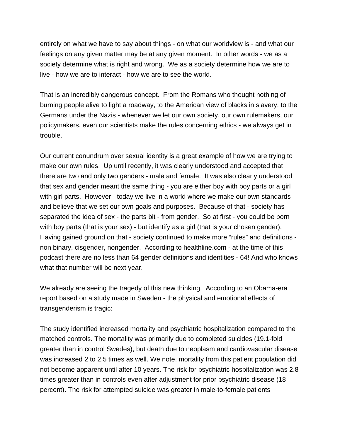entirely on what we have to say about things - on what our worldview is - and what our feelings on any given matter may be at any given moment. In other words - we as a society determine what is right and wrong. We as a society determine how we are to live - how we are to interact - how we are to see the world.

That is an incredibly dangerous concept. From the Romans who thought nothing of burning people alive to light a roadway, to the American view of blacks in slavery, to the Germans under the Nazis - whenever we let our own society, our own rulemakers, our policymakers, even our scientists make the rules concerning ethics - we always get in trouble.

Our current conundrum over sexual identity is a great example of how we are trying to make our own rules. Up until recently, it was clearly understood and accepted that there are two and only two genders - male and female. It was also clearly understood that sex and gender meant the same thing - you are either boy with boy parts or a girl with girl parts. However - today we live in a world where we make our own standards and believe that we set our own goals and purposes. Because of that - society has separated the idea of sex - the parts bit - from gender. So at first - you could be born with boy parts (that is your sex) - but identify as a girl (that is your chosen gender). Having gained ground on that - society continued to make more "rules" and definitions non binary, cisgender, nongender. According to healthline.com - at the time of this podcast there are no less than 64 gender definitions and identities - 64! And who knows what that number will be next year.

We already are seeing the tragedy of this new thinking. According to an Obama-era report based on a study made in Sweden - the physical and emotional effects of transgenderism is tragic:

The study identified increased mortality and psychiatric hospitalization compared to the matched controls. The mortality was primarily due to completed suicides (19.1-fold greater than in control Swedes), but death due to neoplasm and cardiovascular disease was increased 2 to 2.5 times as well. We note, mortality from this patient population did not become apparent until after 10 years. The risk for psychiatric hospitalization was 2.8 times greater than in controls even after adjustment for prior psychiatric disease (18 percent). The risk for attempted suicide was greater in male-to-female patients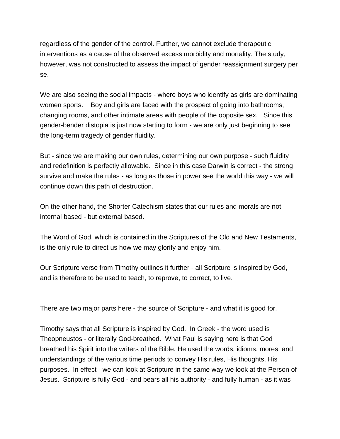regardless of the gender of the control. Further, we cannot exclude therapeutic interventions as a cause of the observed excess morbidity and mortality. The study, however, was not constructed to assess the impact of gender reassignment surgery per se.

We are also seeing the social impacts - where boys who identify as girls are dominating women sports. Boy and girls are faced with the prospect of going into bathrooms, changing rooms, and other intimate areas with people of the opposite sex. Since this gender-bender distopia is just now starting to form - we are only just beginning to see the long-term tragedy of gender fluidity.

But - since we are making our own rules, determining our own purpose - such fluidity and redefinition is perfectly allowable. Since in this case Darwin is correct - the strong survive and make the rules - as long as those in power see the world this way - we will continue down this path of destruction.

On the other hand, the Shorter Catechism states that our rules and morals are not internal based - but external based.

The Word of God, which is contained in the Scriptures of the Old and New Testaments, is the only rule to direct us how we may glorify and enjoy him.

Our Scripture verse from Timothy outlines it further - all Scripture is inspired by God, and is therefore to be used to teach, to reprove, to correct, to live.

There are two major parts here - the source of Scripture - and what it is good for.

Timothy says that all Scripture is inspired by God. In Greek - the word used is Theopneustos - or literally God-breathed. What Paul is saying here is that God breathed his Spirit into the writers of the Bible. He used the words, idioms, mores, and understandings of the various time periods to convey His rules, His thoughts, His purposes. In effect - we can look at Scripture in the same way we look at the Person of Jesus. Scripture is fully God - and bears all his authority - and fully human - as it was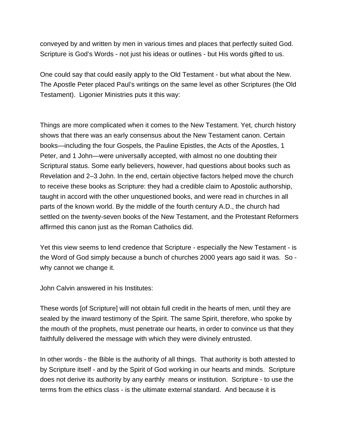conveyed by and written by men in various times and places that perfectly suited God. Scripture is God's Words - not just his ideas or outlines - but His words gifted to us.

One could say that could easily apply to the Old Testament - but what about the New. The Apostle Peter placed Paul's writings on the same level as other Scriptures (the Old Testament). Ligonier Ministries puts it this way:

Things are more complicated when it comes to the New Testament. Yet, church history shows that there was an early consensus about the New Testament canon. Certain books—including the four Gospels, the Pauline Epistles, the Acts of the Apostles, 1 Peter, and 1 John—were universally accepted, with almost no one doubting their Scriptural status. Some early believers, however, had questions about books such as Revelation and 2–3 John. In the end, certain objective factors helped move the church to receive these books as Scripture: they had a credible claim to Apostolic authorship, taught in accord with the other unquestioned books, and were read in churches in all parts of the known world. By the middle of the fourth century A.D., the church had settled on the twenty-seven books of the New Testament, and the Protestant Reformers affirmed this canon just as the Roman Catholics did.

Yet this view seems to lend credence that Scripture - especially the New Testament - is the Word of God simply because a bunch of churches 2000 years ago said it was. So why cannot we change it.

John Calvin answered in his Institutes:

These words [of Scripture] will not obtain full credit in the hearts of men, until they are sealed by the inward testimony of the Spirit. The same Spirit, therefore, who spoke by the mouth of the prophets, must penetrate our hearts, in order to convince us that they faithfully delivered the message with which they were divinely entrusted.

In other words - the Bible is the authority of all things. That authority is both attested to by Scripture itself - and by the Spirit of God working in our hearts and minds. Scripture does not derive its authority by any earthly means or institution. Scripture - to use the terms from the ethics class - is the ultimate external standard. And because it is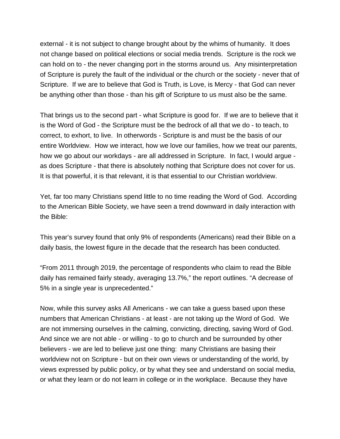external - it is not subject to change brought about by the whims of humanity. It does not change based on political elections or social media trends. Scripture is the rock we can hold on to - the never changing port in the storms around us. Any misinterpretation of Scripture is purely the fault of the individual or the church or the society - never that of Scripture. If we are to believe that God is Truth, is Love, is Mercy - that God can never be anything other than those - than his gift of Scripture to us must also be the same.

That brings us to the second part - what Scripture is good for. If we are to believe that it is the Word of God - the Scripture must be the bedrock of all that we do - to teach, to correct, to exhort, to live. In otherwords - Scripture is and must be the basis of our entire Worldview. How we interact, how we love our families, how we treat our parents, how we go about our workdays - are all addressed in Scripture. In fact, I would argue as does Scripture - that there is absolutely nothing that Scripture does not cover for us. It is that powerful, it is that relevant, it is that essential to our Christian worldview.

Yet, far too many Christians spend little to no time reading the Word of God. According to the American Bible Society, we have seen a trend downward in daily interaction with the Bible:

This year's survey found that only 9% of respondents (Americans) read their Bible on a daily basis, the lowest figure in the decade that the research has been conducted.

"From 2011 through 2019, the percentage of respondents who claim to read the Bible daily has remained fairly steady, averaging 13.7%," the report outlines. "A decrease of 5% in a single year is unprecedented."

Now, while this survey asks All Americans - we can take a guess based upon these numbers that American Christians - at least - are not taking up the Word of God. We are not immersing ourselves in the calming, convicting, directing, saving Word of God. And since we are not able - or willing - to go to church and be surrounded by other believers - we are led to believe just one thing: many Christians are basing their worldview not on Scripture - but on their own views or understanding of the world, by views expressed by public policy, or by what they see and understand on social media, or what they learn or do not learn in college or in the workplace. Because they have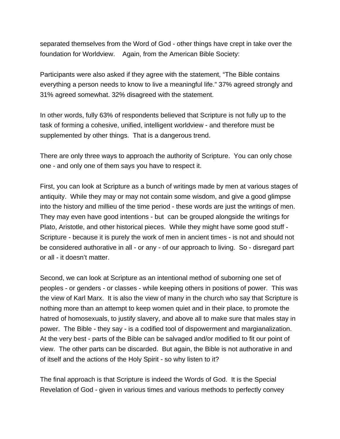separated themselves from the Word of God - other things have crept in take over the foundation for Worldview. Again, from the American Bible Society:

Participants were also asked if they agree with the statement, "The Bible contains everything a person needs to know to live a meaningful life." 37% agreed strongly and 31% agreed somewhat. 32% disagreed with the statement.

In other words, fully 63% of respondents believed that Scripture is not fully up to the task of forming a cohesive, unified, intelligent worldview - and therefore must be supplemented by other things. That is a dangerous trend.

There are only three ways to approach the authority of Scripture. You can only chose one - and only one of them says you have to respect it.

First, you can look at Scripture as a bunch of writings made by men at various stages of antiquity. While they may or may not contain some wisdom, and give a good glimpse into the history and millieu of the time period - these words are just the writings of men. They may even have good intentions - but can be grouped alongside the writings for Plato, Aristotle, and other historical pieces. While they might have some good stuff - Scripture - because it is purely the work of men in ancient times - is not and should not be considered authorative in all - or any - of our approach to living. So - disregard part or all - it doesn't matter.

Second, we can look at Scripture as an intentional method of suborning one set of peoples - or genders - or classes - while keeping others in positions of power. This was the view of Karl Marx. It is also the view of many in the church who say that Scripture is nothing more than an attempt to keep women quiet and in their place, to promote the hatred of homosexuals, to justify slavery, and above all to make sure that males stay in power. The Bible - they say - is a codified tool of dispowerment and margianalization. At the very best - parts of the Bible can be salvaged and/or modified to fit our point of view. The other parts can be discarded. But again, the Bible is not authorative in and of itself and the actions of the Holy Spirit - so why listen to it?

The final approach is that Scripture is indeed the Words of God. It is the Special Revelation of God - given in various times and various methods to perfectly convey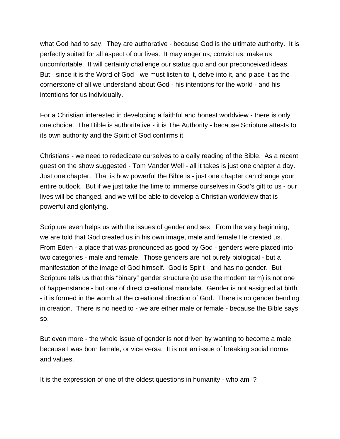what God had to say. They are authorative - because God is the ultimate authority. It is perfectly suited for all aspect of our lives. It may anger us, convict us, make us uncomfortable. It will certainly challenge our status quo and our preconceived ideas. But - since it is the Word of God - we must listen to it, delve into it, and place it as the cornerstone of all we understand about God - his intentions for the world - and his intentions for us individually.

For a Christian interested in developing a faithful and honest worldview - there is only one choice. The Bible is authoritative - it is The Authority - because Scripture attests to its own authority and the Spirit of God confirms it.

Christians - we need to rededicate ourselves to a daily reading of the Bible. As a recent guest on the show suggested - Tom Vander Well - all it takes is just one chapter a day. Just one chapter. That is how powerful the Bible is - just one chapter can change your entire outlook. But if we just take the time to immerse ourselves in God's gift to us - our lives will be changed, and we will be able to develop a Christian worldview that is powerful and glorifying.

Scripture even helps us with the issues of gender and sex. From the very beginning, we are told that God created us in his own image, male and female He created us. From Eden - a place that was pronounced as good by God - genders were placed into two categories - male and female. Those genders are not purely biological - but a manifestation of the image of God himself. God is Spirit - and has no gender. But - Scripture tells us that this "binary" gender structure (to use the modern term) is not one of happenstance - but one of direct creational mandate. Gender is not assigned at birth - it is formed in the womb at the creational direction of God. There is no gender bending in creation. There is no need to - we are either male or female - because the Bible says so.

But even more - the whole issue of gender is not driven by wanting to become a male because I was born female, or vice versa. It is not an issue of breaking social norms and values.

It is the expression of one of the oldest questions in humanity - who am I?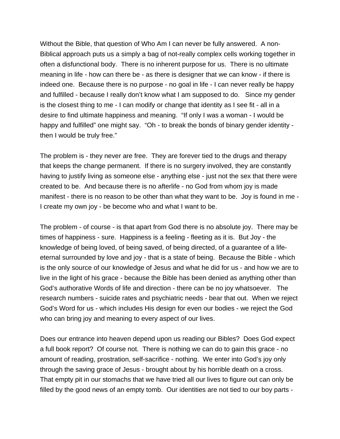Without the Bible, that question of Who Am I can never be fully answered. A non-Biblical approach puts us a simply a bag of not-really complex cells working together in often a disfunctional body. There is no inherent purpose for us. There is no ultimate meaning in life - how can there be - as there is designer that we can know - if there is indeed one. Because there is no purpose - no goal in life - I can never really be happy and fulfilled - because I really don't know what I am supposed to do. Since my gender is the closest thing to me - I can modify or change that identity as I see fit - all in a desire to find ultimate happiness and meaning. "If only I was a woman - I would be happy and fulfilled" one might say. "Oh - to break the bonds of binary gender identity then I would be truly free."

The problem is - they never are free. They are forever tied to the drugs and therapy that keeps the change permanent. If there is no surgery involved, they are constantly having to justify living as someone else - anything else - just not the sex that there were created to be. And because there is no afterlife - no God from whom joy is made manifest - there is no reason to be other than what they want to be. Joy is found in me - I create my own joy - be become who and what I want to be.

The problem - of course - is that apart from God there is no absolute joy. There may be times of happiness - sure. Happiness is a feeling - fleeting as it is. But Joy - the knowledge of being loved, of being saved, of being directed, of a guarantee of a lifeeternal surrounded by love and joy - that is a state of being. Because the Bible - which is the only source of our knowledge of Jesus and what he did for us - and how we are to live in the light of his grace - because the Bible has been denied as anything other than God's authorative Words of life and direction - there can be no joy whatsoever. The research numbers - suicide rates and psychiatric needs - bear that out. When we reject God's Word for us - which includes His design for even our bodies - we reject the God who can bring joy and meaning to every aspect of our lives.

Does our entrance into heaven depend upon us reading our Bibles? Does God expect a full book report? Of course not. There is nothing we can do to gain this grace - no amount of reading, prostration, self-sacrifice - nothing. We enter into God's joy only through the saving grace of Jesus - brought about by his horrible death on a cross. That empty pit in our stomachs that we have tried all our lives to figure out can only be filled by the good news of an empty tomb. Our identities are not tied to our boy parts -